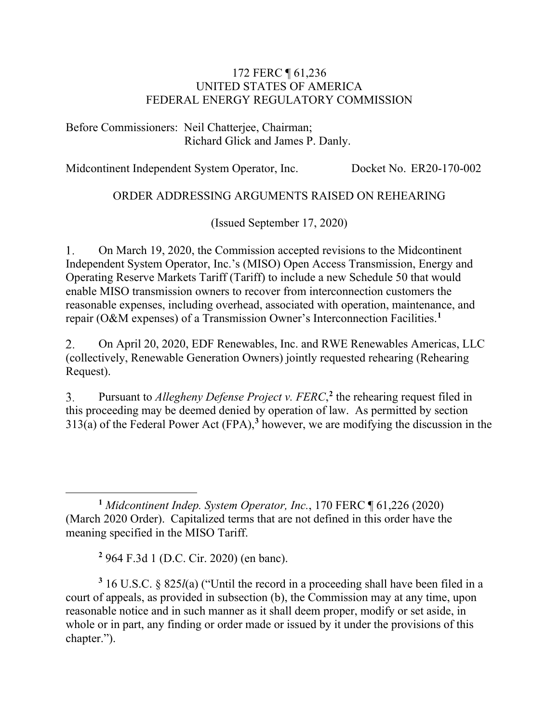#### 172 FERC ¶ 61,236 UNITED STATES OF AMERICA FEDERAL ENERGY REGULATORY COMMISSION

Before Commissioners: Neil Chatterjee, Chairman; Richard Glick and James P. Danly.

Midcontinent Independent System Operator, Inc. Docket No. ER20-170-002

### ORDER ADDRESSING ARGUMENTS RAISED ON REHEARING

(Issued September 17, 2020)

On March 19, 2020, the Commission accepted revisions to the Midcontinent  $1_{\cdot}$ Independent System Operator, Inc.'s (MISO) Open Access Transmission, Energy and Operating Reserve Markets Tariff (Tariff) to include a new Schedule 50 that would enable MISO transmission owners to recover from interconnection customers the reasonable expenses, including overhead, associated with operation, maintenance, and repair (O&M expenses) of a Transmission Owner's Interconnection Facilities. **[1](#page-0-0)**

On April 20, 2020, EDF Renewables, Inc. and RWE Renewables Americas, LLC  $2.$ (collectively, Renewable Generation Owners) jointly requested rehearing (Rehearing Request).

Pursuant to *Allegheny Defense Project v. FERC*, **[2](#page-0-1)** the rehearing request filed in 3. this proceeding may be deemed denied by operation of law. As permitted by section 313(a) of the Federal Power Act (FPA),**[3](#page-0-2)** however, we are modifying the discussion in the

**<sup>2</sup>** 964 F.3d 1 (D.C. Cir. 2020) (en banc).

<span id="page-0-2"></span><span id="page-0-1"></span>**<sup>3</sup>** 16 U.S.C. § 825*l*(a) ("Until the record in a proceeding shall have been filed in a court of appeals, as provided in subsection (b), the Commission may at any time, upon reasonable notice and in such manner as it shall deem proper, modify or set aside, in whole or in part, any finding or order made or issued by it under the provisions of this chapter.").

<span id="page-0-0"></span>**<sup>1</sup>** *Midcontinent Indep. System Operator, Inc.*, 170 FERC ¶ 61,226 (2020) (March 2020 Order). Capitalized terms that are not defined in this order have the meaning specified in the MISO Tariff.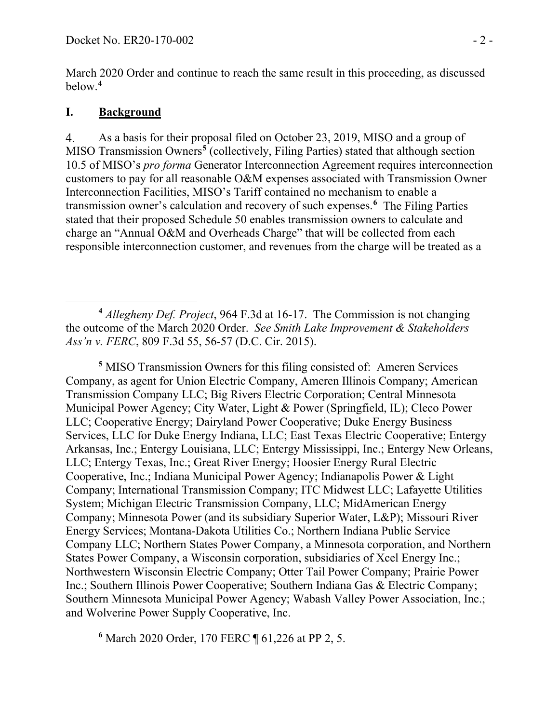March 2020 Order and continue to reach the same result in this proceeding, as discussed below.**[4](#page-1-0)**

## **I. Background**

As a basis for their proposal filed on October 23, 2019, MISO and a group of  $\overline{4}$ . MISO Transmission Owners**[5](#page-1-1)** (collectively, Filing Parties) stated that although section 10.5 of MISO's *pro forma* Generator Interconnection Agreement requires interconnection customers to pay for all reasonable O&M expenses associated with Transmission Owner Interconnection Facilities, MISO's Tariff contained no mechanism to enable a transmission owner's calculation and recovery of such expenses.**[6](#page-1-2)** The Filing Parties stated that their proposed Schedule 50 enables transmission owners to calculate and charge an "Annual O&M and Overheads Charge" that will be collected from each responsible interconnection customer, and revenues from the charge will be treated as a

<span id="page-1-1"></span>**<sup>5</sup>** MISO Transmission Owners for this filing consisted of: Ameren Services Company, as agent for Union Electric Company, Ameren Illinois Company; American Transmission Company LLC; Big Rivers Electric Corporation; Central Minnesota Municipal Power Agency; City Water, Light & Power (Springfield, IL); Cleco Power LLC; Cooperative Energy; Dairyland Power Cooperative; Duke Energy Business Services, LLC for Duke Energy Indiana, LLC; East Texas Electric Cooperative; Entergy Arkansas, Inc.; Entergy Louisiana, LLC; Entergy Mississippi, Inc.; Entergy New Orleans, LLC; Entergy Texas, Inc.; Great River Energy; Hoosier Energy Rural Electric Cooperative, Inc.; Indiana Municipal Power Agency; Indianapolis Power & Light Company; International Transmission Company; ITC Midwest LLC; Lafayette Utilities System; Michigan Electric Transmission Company, LLC; MidAmerican Energy Company; Minnesota Power (and its subsidiary Superior Water, L&P); Missouri River Energy Services; Montana-Dakota Utilities Co.; Northern Indiana Public Service Company LLC; Northern States Power Company, a Minnesota corporation, and Northern States Power Company, a Wisconsin corporation, subsidiaries of Xcel Energy Inc.; Northwestern Wisconsin Electric Company; Otter Tail Power Company; Prairie Power Inc.; Southern Illinois Power Cooperative; Southern Indiana Gas & Electric Company; Southern Minnesota Municipal Power Agency; Wabash Valley Power Association, Inc.; and Wolverine Power Supply Cooperative, Inc.

<span id="page-1-2"></span>**<sup>6</sup>** March 2020 Order, 170 FERC ¶ 61,226 at PP 2, 5.

<span id="page-1-0"></span>**<sup>4</sup>** *Allegheny Def. Project*, 964 F.3d at 16-17. The Commission is not changing the outcome of the March 2020 Order. *See Smith Lake Improvement & Stakeholders Ass'n v. FERC*, 809 F.3d 55, 56-57 (D.C. Cir. 2015).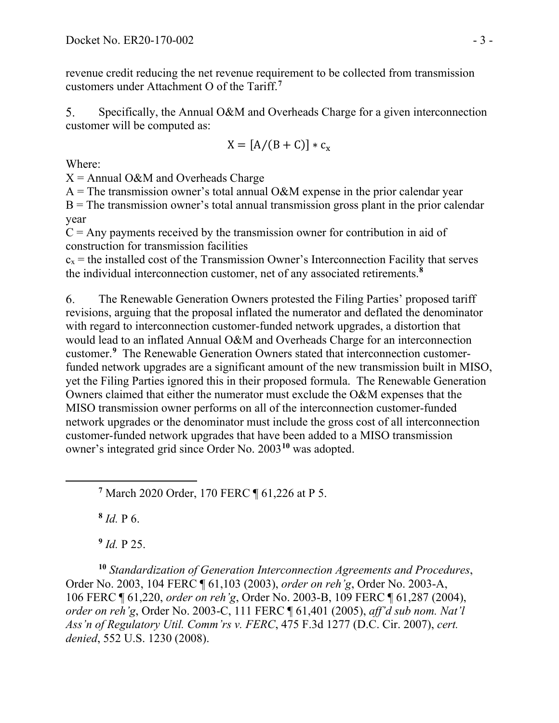revenue credit reducing the net revenue requirement to be collected from transmission customers under Attachment O of the Tariff.**[7](#page-2-0)**

Specifically, the Annual O&M and Overheads Charge for a given interconnection  $5<sub>1</sub>$ customer will be computed as:

$$
X = [A/(B+C)] * c_x
$$

Where:

 $X =$  Annual O&M and Overheads Charge

 $A =$ The transmission owner's total annual O&M expense in the prior calendar year

 $B$  = The transmission owner's total annual transmission gross plant in the prior calendar year

 $C =$  Any payments received by the transmission owner for contribution in aid of construction for transmission facilities

 $c_x$  = the installed cost of the Transmission Owner's Interconnection Facility that serves the individual interconnection customer, net of any associated retirements. **[8](#page-2-1)**

6. The Renewable Generation Owners protested the Filing Parties' proposed tariff revisions, arguing that the proposal inflated the numerator and deflated the denominator with regard to interconnection customer-funded network upgrades, a distortion that would lead to an inflated Annual O&M and Overheads Charge for an interconnection customer. **[9](#page-2-2)** The Renewable Generation Owners stated that interconnection customerfunded network upgrades are a significant amount of the new transmission built in MISO, yet the Filing Parties ignored this in their proposed formula. The Renewable Generation Owners claimed that either the numerator must exclude the O&M expenses that the MISO transmission owner performs on all of the interconnection customer-funded network upgrades or the denominator must include the gross cost of all interconnection customer-funded network upgrades that have been added to a MISO transmission owner's integrated grid since Order No. 2003**[10](#page-2-3)** was adopted.

<span id="page-2-0"></span>**<sup>7</sup>** March 2020 Order, 170 FERC ¶ 61,226 at P 5.

**<sup>8</sup>** *Id.* P 6.

**<sup>9</sup>** *Id.* P 25.

<span id="page-2-3"></span><span id="page-2-2"></span><span id="page-2-1"></span>**<sup>10</sup>** *Standardization of Generation Interconnection Agreements and Procedures*, Order No. 2003, 104 FERC ¶ 61,103 (2003), *order on reh'g*, Order No. 2003-A, 106 FERC ¶ 61,220, *order on reh'g*, Order No. 2003-B, 109 FERC ¶ 61,287 (2004), *order on reh'g*, Order No. 2003-C, 111 FERC ¶ 61,401 (2005), *aff'd sub nom. Nat'l Ass'n of Regulatory Util. Comm'rs v. FERC*, 475 F.3d 1277 (D.C. Cir. 2007), *cert. denied*, 552 U.S. 1230 (2008).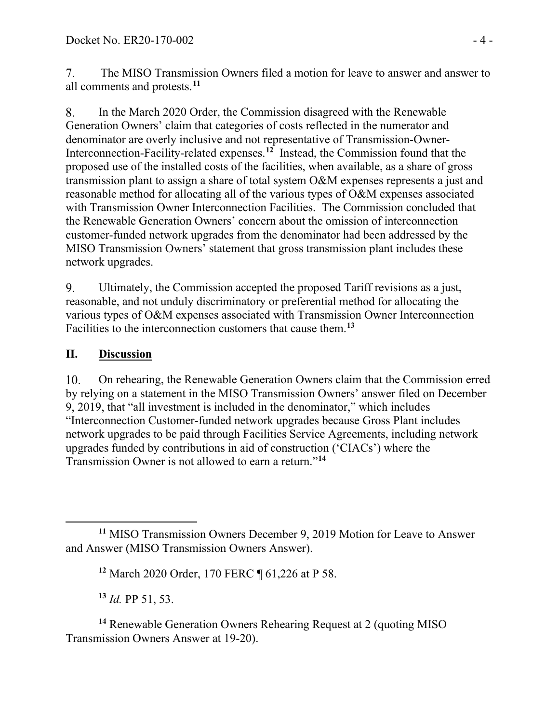$7<sup>1</sup>$ The MISO Transmission Owners filed a motion for leave to answer and answer to all comments and protests.**[11](#page-3-0)**

In the March 2020 Order, the Commission disagreed with the Renewable 8. Generation Owners' claim that categories of costs reflected in the numerator and denominator are overly inclusive and not representative of Transmission-Owner-Interconnection-Facility-related expenses. **[12](#page-3-1)** Instead, the Commission found that the proposed use of the installed costs of the facilities, when available, as a share of gross transmission plant to assign a share of total system O&M expenses represents a just and reasonable method for allocating all of the various types of O&M expenses associated with Transmission Owner Interconnection Facilities. The Commission concluded that the Renewable Generation Owners' concern about the omission of interconnection customer-funded network upgrades from the denominator had been addressed by the MISO Transmission Owners' statement that gross transmission plant includes these network upgrades.

9. Ultimately, the Commission accepted the proposed Tariff revisions as a just, reasonable, and not unduly discriminatory or preferential method for allocating the various types of O&M expenses associated with Transmission Owner Interconnection Facilities to the interconnection customers that cause them. **[13](#page-3-2)**

# **II. Discussion**

 $10.$ On rehearing, the Renewable Generation Owners claim that the Commission erred by relying on a statement in the MISO Transmission Owners' answer filed on December 9, 2019, that "all investment is included in the denominator," which includes "Interconnection Customer-funded network upgrades because Gross Plant includes network upgrades to be paid through Facilities Service Agreements, including network upgrades funded by contributions in aid of construction ('CIACs') where the Transmission Owner is not allowed to earn a return."**[14](#page-3-3)**

**<sup>13</sup>** *Id.* PP 51, 53.

<span id="page-3-3"></span><span id="page-3-2"></span>**<sup>14</sup>** Renewable Generation Owners Rehearing Request at 2 (quoting MISO Transmission Owners Answer at 19-20).

<span id="page-3-1"></span><span id="page-3-0"></span>**<sup>11</sup>** MISO Transmission Owners December 9, 2019 Motion for Leave to Answer and Answer (MISO Transmission Owners Answer).

**<sup>12</sup>** March 2020 Order, 170 FERC ¶ 61,226 at P 58.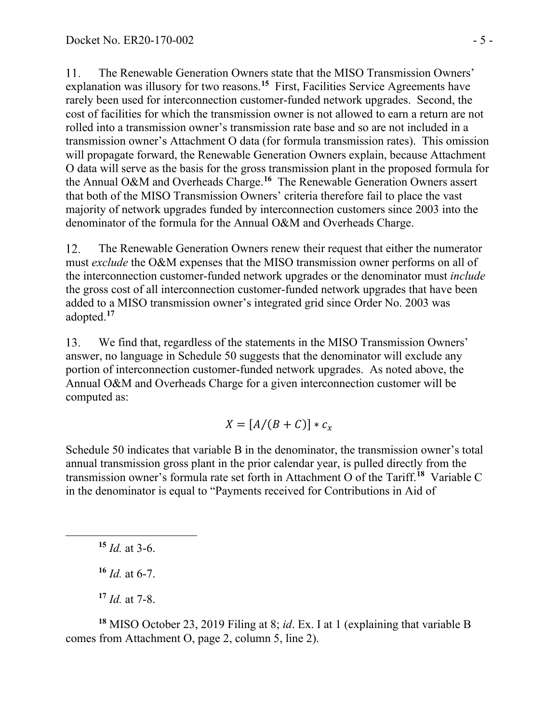11. The Renewable Generation Owners state that the MISO Transmission Owners' explanation was illusory for two reasons.<sup>[15](#page-4-0)</sup> First, Facilities Service Agreements have rarely been used for interconnection customer-funded network upgrades. Second, the cost of facilities for which the transmission owner is not allowed to earn a return are not rolled into a transmission owner's transmission rate base and so are not included in a transmission owner's Attachment O data (for formula transmission rates). This omission will propagate forward, the Renewable Generation Owners explain, because Attachment O data will serve as the basis for the gross transmission plant in the proposed formula for the Annual O&M and Overheads Charge. **[16](#page-4-1)** The Renewable Generation Owners assert that both of the MISO Transmission Owners' criteria therefore fail to place the vast majority of network upgrades funded by interconnection customers since 2003 into the denominator of the formula for the Annual O&M and Overheads Charge.

12. The Renewable Generation Owners renew their request that either the numerator must *exclude* the O&M expenses that the MISO transmission owner performs on all of the interconnection customer-funded network upgrades or the denominator must *include* the gross cost of all interconnection customer-funded network upgrades that have been added to a MISO transmission owner's integrated grid since Order No. 2003 was adopted. **[17](#page-4-2)**

13. We find that, regardless of the statements in the MISO Transmission Owners' answer, no language in Schedule 50 suggests that the denominator will exclude any portion of interconnection customer-funded network upgrades. As noted above, the Annual O&M and Overheads Charge for a given interconnection customer will be computed as:

$$
X=[A/(B+C)]*c_x
$$

Schedule 50 indicates that variable B in the denominator, the transmission owner's total annual transmission gross plant in the prior calendar year, is pulled directly from the transmission owner's formula rate set forth in Attachment O of the Tariff.**[18](#page-4-3)** Variable C in the denominator is equal to "Payments received for Contributions in Aid of

<span id="page-4-0"></span>**<sup>15</sup>** *Id.* at 3-6.

**<sup>16</sup>** *Id.* at 6-7.

**<sup>17</sup>** *Id.* at 7-8.

<span id="page-4-3"></span><span id="page-4-2"></span><span id="page-4-1"></span>**<sup>18</sup>** MISO October 23, 2019 Filing at 8; *id*. Ex. I at 1 (explaining that variable B comes from Attachment O, page 2, column 5, line 2).